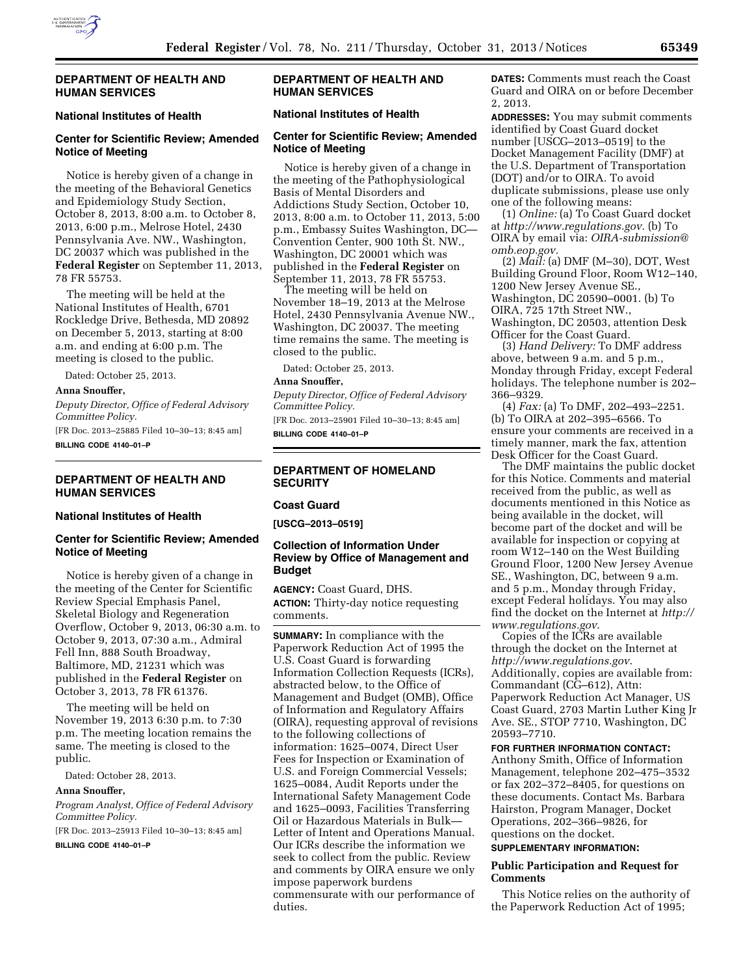

## **DEPARTMENT OF HEALTH AND HUMAN SERVICES**

### **National Institutes of Health**

# **Center for Scientific Review; Amended Notice of Meeting**

Notice is hereby given of a change in the meeting of the Behavioral Genetics and Epidemiology Study Section, October 8, 2013, 8:00 a.m. to October 8, 2013, 6:00 p.m., Melrose Hotel, 2430 Pennsylvania Ave. NW., Washington, DC 20037 which was published in the **Federal Register** on September 11, 2013, 78 FR 55753.

The meeting will be held at the National Institutes of Health, 6701 Rockledge Drive, Bethesda, MD 20892 on December 5, 2013, starting at 8:00 a.m. and ending at 6:00 p.m. The meeting is closed to the public.

Dated: October 25, 2013.

#### **Anna Snouffer,**

*Deputy Director, Office of Federal Advisory Committee Policy.* 

[FR Doc. 2013–25885 Filed 10–30–13; 8:45 am] **BILLING CODE 4140–01–P** 

## **DEPARTMENT OF HEALTH AND HUMAN SERVICES**

#### **National Institutes of Health**

## **Center for Scientific Review; Amended Notice of Meeting**

Notice is hereby given of a change in the meeting of the Center for Scientific Review Special Emphasis Panel, Skeletal Biology and Regeneration Overflow, October 9, 2013, 06:30 a.m. to October 9, 2013, 07:30 a.m., Admiral Fell Inn, 888 South Broadway, Baltimore, MD, 21231 which was published in the **Federal Register** on October 3, 2013, 78 FR 61376.

The meeting will be held on November 19, 2013 6:30 p.m. to 7:30 p.m. The meeting location remains the same. The meeting is closed to the public.

Dated: October 28, 2013.

## **Anna Snouffer,**

*Program Analyst, Office of Federal Advisory Committee Policy.* 

[FR Doc. 2013–25913 Filed 10–30–13; 8:45 am]

**BILLING CODE 4140–01–P** 

# **DEPARTMENT OF HEALTH AND HUMAN SERVICES**

# **National Institutes of Health**

## **Center for Scientific Review; Amended Notice of Meeting**

Notice is hereby given of a change in the meeting of the Pathophysiological Basis of Mental Disorders and Addictions Study Section, October 10, 2013, 8:00 a.m. to October 11, 2013, 5:00 p.m., Embassy Suites Washington, DC— Convention Center, 900 10th St. NW., Washington, DC 20001 which was published in the **Federal Register** on September 11, 2013, 78 FR 55753.

The meeting will be held on November 18–19, 2013 at the Melrose Hotel, 2430 Pennsylvania Avenue NW., Washington, DC 20037. The meeting time remains the same. The meeting is closed to the public.

Dated: October 25, 2013.

**Anna Snouffer,** 

*Deputy Director, Office of Federal Advisory Committee Policy.* 

[FR Doc. 2013–25901 Filed 10–30–13; 8:45 am] **BILLING CODE 4140–01–P** 

### **DEPARTMENT OF HOMELAND SECURITY**

# **Coast Guard**

**[USCG–2013–0519]** 

## **Collection of Information Under Review by Office of Management and Budget**

**AGENCY:** Coast Guard, DHS. **ACTION:** Thirty-day notice requesting comments.

**SUMMARY:** In compliance with the Paperwork Reduction Act of 1995 the U.S. Coast Guard is forwarding Information Collection Requests (ICRs), abstracted below, to the Office of Management and Budget (OMB), Office of Information and Regulatory Affairs (OIRA), requesting approval of revisions to the following collections of information: 1625–0074, Direct User Fees for Inspection or Examination of U.S. and Foreign Commercial Vessels; 1625–0084, Audit Reports under the International Safety Management Code and 1625–0093, Facilities Transferring Oil or Hazardous Materials in Bulk— Letter of Intent and Operations Manual. Our ICRs describe the information we seek to collect from the public. Review and comments by OIRA ensure we only impose paperwork burdens commensurate with our performance of duties.

**DATES:** Comments must reach the Coast Guard and OIRA on or before December 2, 2013.

**ADDRESSES:** You may submit comments identified by Coast Guard docket number [USCG–2013–0519] to the Docket Management Facility (DMF) at the U.S. Department of Transportation (DOT) and/or to OIRA. To avoid duplicate submissions, please use only one of the following means:

(1) *Online:* (a) To Coast Guard docket at *[http://www.regulations.gov.](http://www.regulations.gov)* (b) To OIRA by email via: *[OIRA-submission@](mailto:OIRA-submission@omb.eop.gov) [omb.eop.gov.](mailto:OIRA-submission@omb.eop.gov)* 

(2) *Mail:* (a) DMF (M–30), DOT, West Building Ground Floor, Room W12–140, 1200 New Jersey Avenue SE., Washington, DC 20590–0001. (b) To OIRA, 725 17th Street NW., Washington, DC 20503, attention Desk Officer for the Coast Guard.

(3) *Hand Delivery:* To DMF address above, between 9 a.m. and 5 p.m., Monday through Friday, except Federal holidays. The telephone number is 202– 366–9329.

(4) *Fax:* (a) To DMF, 202–493–2251. (b) To OIRA at 202–395–6566. To ensure your comments are received in a timely manner, mark the fax, attention Desk Officer for the Coast Guard.

The DMF maintains the public docket for this Notice. Comments and material received from the public, as well as documents mentioned in this Notice as being available in the docket, will become part of the docket and will be available for inspection or copying at room W12–140 on the West Building Ground Floor, 1200 New Jersey Avenue SE., Washington, DC, between 9 a.m. and 5 p.m., Monday through Friday, except Federal holidays. You may also find the docket on the Internet at *[http://](http://www.regulations.gov)  [www.regulations.gov](http://www.regulations.gov)*.

Copies of the ICRs are available through the docket on the Internet at *<http://www.regulations.gov>*. Additionally, copies are available from: Commandant (CG–612), Attn: Paperwork Reduction Act Manager, US Coast Guard, 2703 Martin Luther King Jr Ave. SE., STOP 7710, Washington, DC 20593–7710.

## **FOR FURTHER INFORMATION CONTACT:**

Anthony Smith, Office of Information Management, telephone 202–475–3532 or fax 202–372–8405, for questions on these documents. Contact Ms. Barbara Hairston, Program Manager, Docket Operations, 202–366–9826, for questions on the docket.

# **SUPPLEMENTARY INFORMATION:**

## **Public Participation and Request for Comments**

This Notice relies on the authority of the Paperwork Reduction Act of 1995;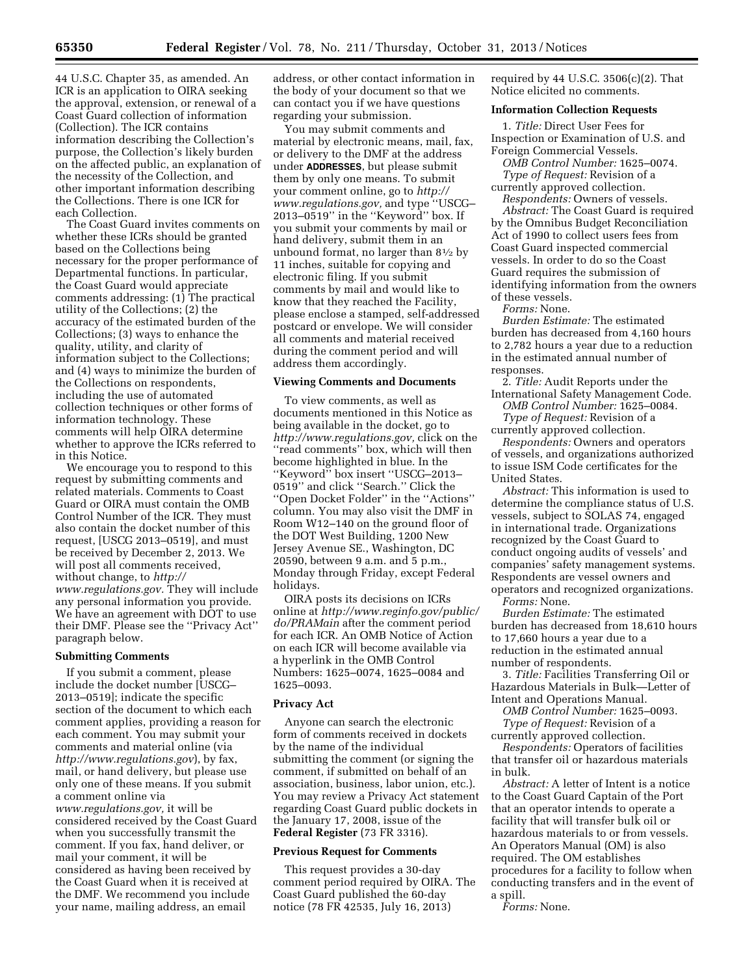44 U.S.C. Chapter 35, as amended. An ICR is an application to OIRA seeking the approval, extension, or renewal of a Coast Guard collection of information (Collection). The ICR contains information describing the Collection's purpose, the Collection's likely burden on the affected public, an explanation of the necessity of the Collection, and other important information describing the Collections. There is one ICR for each Collection.

The Coast Guard invites comments on whether these ICRs should be granted based on the Collections being necessary for the proper performance of Departmental functions. In particular, the Coast Guard would appreciate comments addressing: (1) The practical utility of the Collections; (2) the accuracy of the estimated burden of the Collections; (3) ways to enhance the quality, utility, and clarity of information subject to the Collections; and (4) ways to minimize the burden of the Collections on respondents, including the use of automated collection techniques or other forms of information technology. These comments will help OIRA determine whether to approve the ICRs referred to in this Notice.

We encourage you to respond to this request by submitting comments and related materials. Comments to Coast Guard or OIRA must contain the OMB Control Number of the ICR. They must also contain the docket number of this request, [USCG 2013–0519], and must be received by December 2, 2013. We will post all comments received, without change, to *[http://](http://www.regulations.gov) [www.regulations.gov.](http://www.regulations.gov)* They will include any personal information you provide. We have an agreement with DOT to use their DMF. Please see the ''Privacy Act'' paragraph below.

## **Submitting Comments**

If you submit a comment, please include the docket number [USCG– 2013–0519]; indicate the specific section of the document to which each comment applies, providing a reason for each comment. You may submit your comments and material online (via *<http://www.regulations.gov>*), by fax, mail, or hand delivery, but please use only one of these means. If you submit a comment online via *[www.regulations.gov,](http://www.regulations.gov)* it will be considered received by the Coast Guard when you successfully transmit the comment. If you fax, hand deliver, or mail your comment, it will be considered as having been received by the Coast Guard when it is received at the DMF. We recommend you include your name, mailing address, an email

address, or other contact information in the body of your document so that we can contact you if we have questions regarding your submission.

You may submit comments and material by electronic means, mail, fax, or delivery to the DMF at the address under **ADDRESSES**, but please submit them by only one means. To submit your comment online, go to *[http://](http://www.regulations.gov) [www.regulations.gov,](http://www.regulations.gov)* and type ''USCG– 2013–0519'' in the ''Keyword'' box. If you submit your comments by mail or hand delivery, submit them in an unbound format, no larger than  $8\frac{1}{2}$  by 11 inches, suitable for copying and electronic filing. If you submit comments by mail and would like to know that they reached the Facility, please enclose a stamped, self-addressed postcard or envelope. We will consider all comments and material received during the comment period and will address them accordingly.

### **Viewing Comments and Documents**

To view comments, as well as documents mentioned in this Notice as being available in the docket, go to *[http://www.regulations.gov,](http://www.regulations.gov)* click on the ''read comments'' box, which will then become highlighted in blue. In the ''Keyword'' box insert ''USCG–2013– 0519'' and click ''Search.'' Click the ''Open Docket Folder'' in the ''Actions'' column. You may also visit the DMF in Room W12–140 on the ground floor of the DOT West Building, 1200 New Jersey Avenue SE., Washington, DC 20590, between 9 a.m. and 5 p.m., Monday through Friday, except Federal holidays.

OIRA posts its decisions on ICRs online at *[http://www.reginfo.gov/public/](http://www.reginfo.gov/public/do/PRAMain) [do/PRAMain](http://www.reginfo.gov/public/do/PRAMain)* after the comment period for each ICR. An OMB Notice of Action on each ICR will become available via a hyperlink in the OMB Control Numbers: 1625–0074, 1625–0084 and 1625–0093.

### **Privacy Act**

Anyone can search the electronic form of comments received in dockets by the name of the individual submitting the comment (or signing the comment, if submitted on behalf of an association, business, labor union, etc.). You may review a Privacy Act statement regarding Coast Guard public dockets in the January 17, 2008, issue of the **Federal Register** (73 FR 3316).

### **Previous Request for Comments**

This request provides a 30-day comment period required by OIRA. The Coast Guard published the 60-day notice (78 FR 42535, July 16, 2013)

required by 44 U.S.C.  $3506(c)(2)$ . That Notice elicited no comments.

### **Information Collection Requests**

1. *Title:* Direct User Fees for Inspection or Examination of U.S. and Foreign Commercial Vessels.

*OMB Control Number:* 1625–0074. *Type of Request:* Revision of a currently approved collection.

*Respondents:* Owners of vessels.

*Abstract:* The Coast Guard is required by the Omnibus Budget Reconciliation Act of 1990 to collect users fees from Coast Guard inspected commercial vessels. In order to do so the Coast Guard requires the submission of identifying information from the owners of these vessels.

*Forms:* None.

*Burden Estimate:* The estimated burden has decreased from 4,160 hours to 2,782 hours a year due to a reduction in the estimated annual number of responses.

2. *Title:* Audit Reports under the International Safety Management Code. *OMB Control Number:* 1625–0084.

*Type of Request:* Revision of a currently approved collection.

*Respondents:* Owners and operators of vessels, and organizations authorized to issue ISM Code certificates for the United States.

*Abstract:* This information is used to determine the compliance status of U.S. vessels, subject to SOLAS 74, engaged in international trade. Organizations recognized by the Coast Guard to conduct ongoing audits of vessels' and companies' safety management systems. Respondents are vessel owners and operators and recognized organizations. *Forms:* None.

*Burden Estimate:* The estimated burden has decreased from 18,610 hours to 17,660 hours a year due to a reduction in the estimated annual number of respondents.

3. *Title:* Facilities Transferring Oil or Hazardous Materials in Bulk—Letter of Intent and Operations Manual.

*OMB Control Number:* 1625–0093. *Type of Request:* Revision of a

currently approved collection. *Respondents:* Operators of facilities that transfer oil or hazardous materials in bulk.

*Abstract:* A letter of Intent is a notice to the Coast Guard Captain of the Port that an operator intends to operate a facility that will transfer bulk oil or hazardous materials to or from vessels. An Operators Manual (OM) is also required. The OM establishes procedures for a facility to follow when conducting transfers and in the event of a spill.

*Forms:* None.